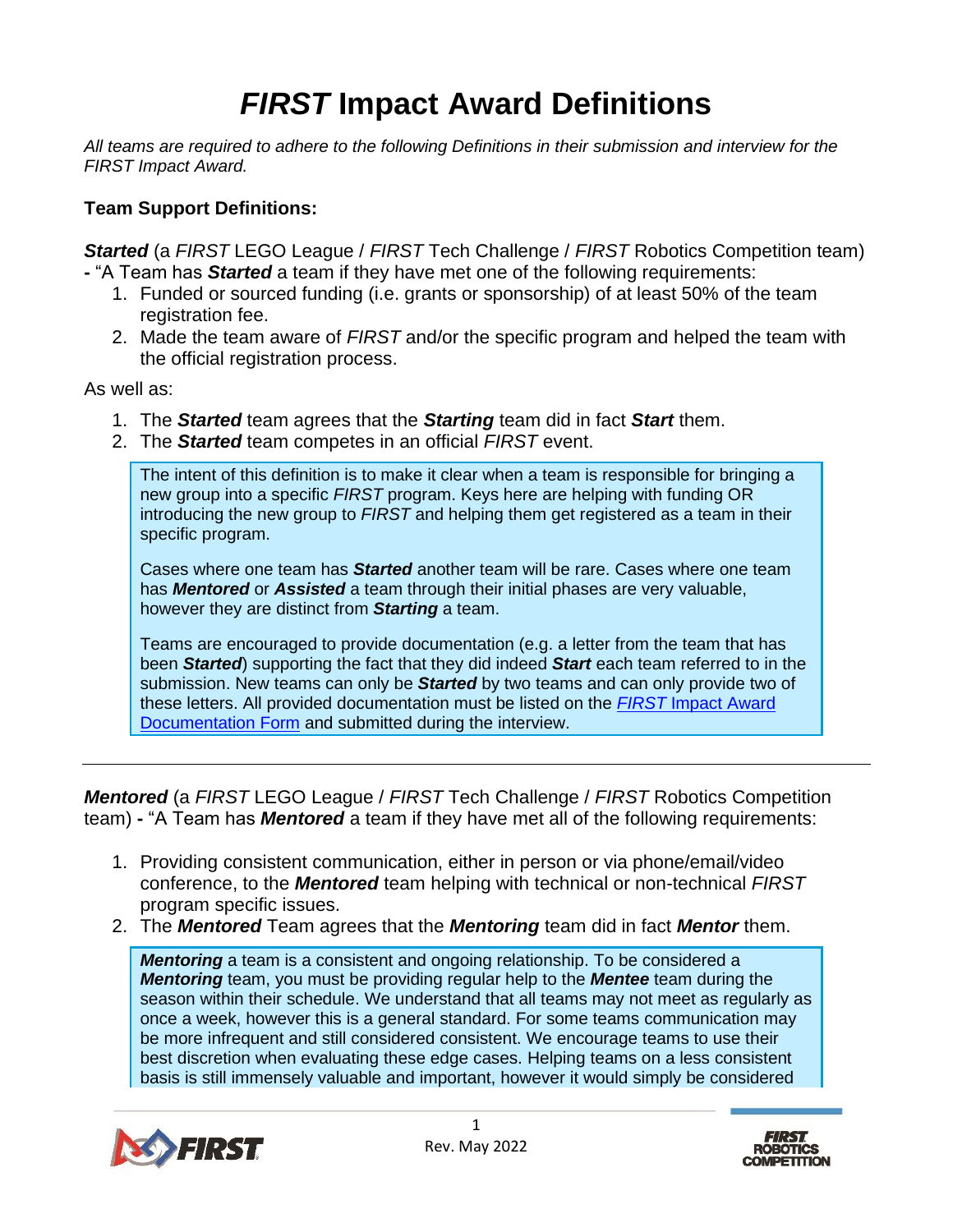## *FIRST* **Impact Award Definitions**

*All teams are required to adhere to the following Definitions in their submission and interview for the FIRST Impact Award.*

## **Team Support Definitions:**

**Started** (a FIRST LEGO League / FIRST Tech Challenge / FIRST Robotics Competition team) **-** "A Team has *Started* a team if they have met one of the following requirements:

- 1. Funded or sourced funding (i.e. grants or sponsorship) of at least 50% of the team registration fee.
- 2. Made the team aware of *FIRST* and/or the specific program and helped the team with the official registration process.

As well as:

- 1. The *Started* team agrees that the *Starting* team did in fact *Start* them.
- 2. The *Started* team competes in an official *FIRST* event.

The intent of this definition is to make it clear when a team is responsible for bringing a new group into a specific *FIRST* program. Keys here are helping with funding OR introducing the new group to *FIRST* and helping them get registered as a team in their specific program.

Cases where one team has *Started* another team will be rare. Cases where one team has *Mentored* or *Assisted* a team through their initial phases are very valuable, however they are distinct from *Starting* a team.

Teams are encouraged to provide documentation (e.g. a letter from the team that has been *Started*) supporting the fact that they did indeed *Start* each team referred to in the submission. New teams can only be *Started* by two teams and can only provide two of these letters. All provided documentation must be listed on the *FIRST* [Impact Award](https://www.firstinspires.org/sites/default/files/uploads/resource_library/frc/game-and-season-info/awards/first-impact-award-documentation-form.pdf) [Documentation Form](https://www.firstinspires.org/sites/default/files/uploads/resource_library/frc/game-and-season-info/awards/first-impact-award-documentation-form.pdf) and submitted during the interview.

*Mentored* (a *FIRST* LEGO League / *FIRST* Tech Challenge / *FIRST* Robotics Competition team) **-** "A Team has *Mentored* a team if they have met all of the following requirements:

- 1. Providing consistent communication, either in person or via phone/email/video conference, to the *Mentored* team helping with technical or non-technical *FIRST*  program specific issues.
- 2. The *Mentored* Team agrees that the *Mentoring* team did in fact *Mentor* them.

*Mentoring* a team is a consistent and ongoing relationship. To be considered a *Mentoring* team, you must be providing regular help to the *Mentee* team during the season within their schedule. We understand that all teams may not meet as regularly as once a week, however this is a general standard. For some teams communication may be more infrequent and still considered consistent. We encourage teams to use their best discretion when evaluating these edge cases. Helping teams on a less consistent basis is still immensely valuable and important, however it would simply be considered



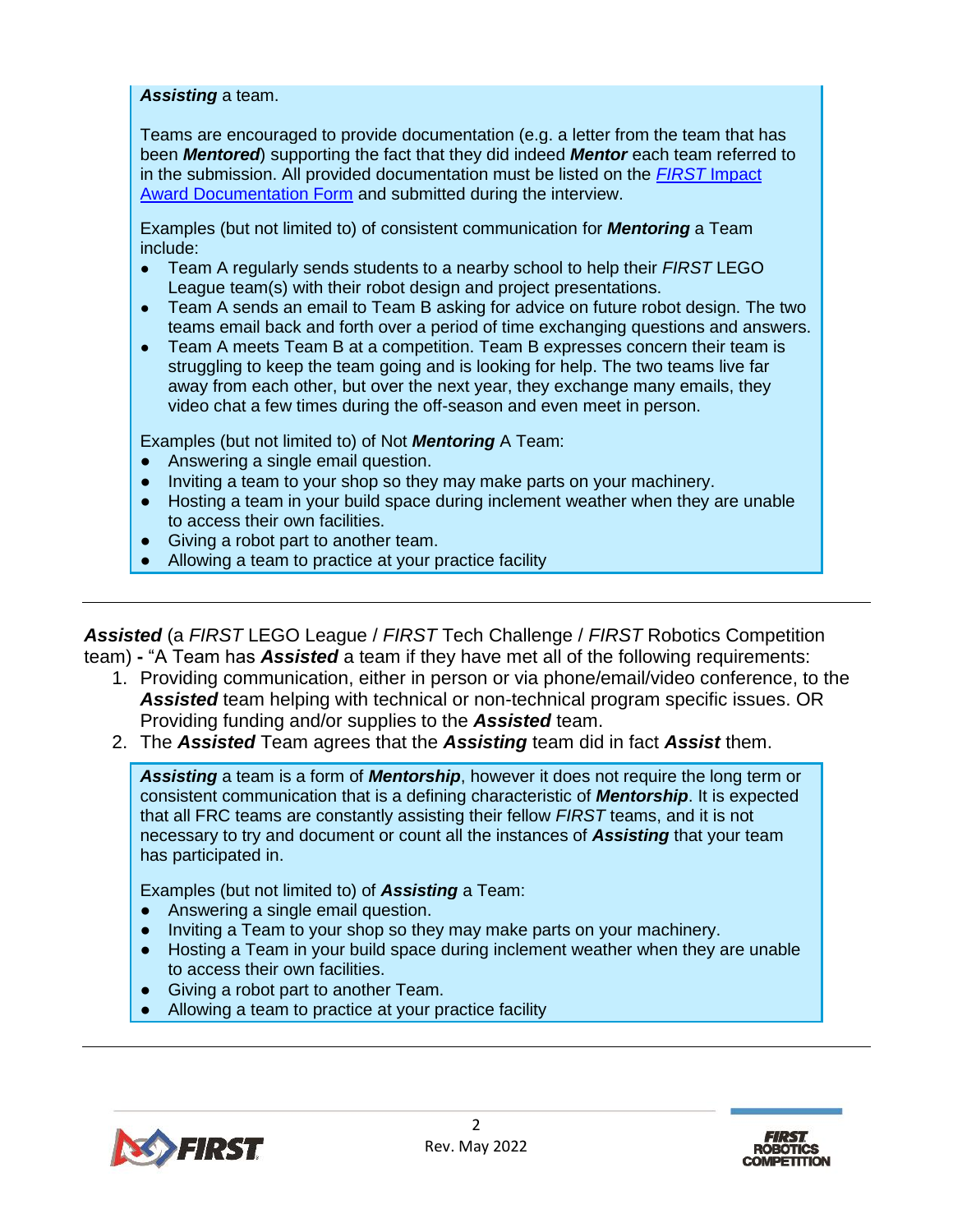## *Assisting* a team.

Teams are encouraged to provide documentation (e.g. a letter from the team that has been *Mentored*) supporting the fact that they did indeed *Mentor* each team referred to in the submission. All provided documentation must be listed on the *FIRST* [Impact](https://www.firstinspires.org/sites/default/files/uploads/resource_library/frc/game-and-season-info/awards/first-impact-award-documentation-form.pdf)  Award [Documentation Form](https://www.firstinspires.org/sites/default/files/uploads/resource_library/frc/game-and-season-info/awards/first-impact-award-documentation-form.pdf) and submitted during the interview.

Examples (but not limited to) of consistent communication for *Mentoring* a Team include:

- Team A regularly sends students to a nearby school to help their *FIRST* LEGO League team(s) with their robot design and project presentations.
- Team A sends an email to Team B asking for advice on future robot design. The two teams email back and forth over a period of time exchanging questions and answers.
- Team A meets Team B at a competition. Team B expresses concern their team is struggling to keep the team going and is looking for help. The two teams live far away from each other, but over the next year, they exchange many emails, they video chat a few times during the off-season and even meet in person.

Examples (but not limited to) of Not *Mentoring* A Team:

- Answering a single email question.
- Inviting a team to your shop so they may make parts on your machinery.
- Hosting a team in your build space during inclement weather when they are unable to access their own facilities.
- Giving a robot part to another team.
- Allowing a team to practice at your practice facility

*Assisted* (a *FIRST* LEGO League / *FIRST* Tech Challenge / *FIRST* Robotics Competition team) **-** "A Team has *Assisted* a team if they have met all of the following requirements:

- 1. Providing communication, either in person or via phone/email/video conference, to the *Assisted* team helping with technical or non-technical program specific issues. OR Providing funding and/or supplies to the *Assisted* team.
- 2. The *Assisted* Team agrees that the *Assisting* team did in fact *Assist* them.

*Assisting* a team is a form of *Mentorship*, however it does not require the long term or consistent communication that is a defining characteristic of *Mentorship*. It is expected that all FRC teams are constantly assisting their fellow *FIRST* teams, and it is not necessary to try and document or count all the instances of *Assisting* that your team has participated in.

Examples (but not limited to) of *Assisting* a Team:

- Answering a single email question.
- Inviting a Team to your shop so they may make parts on your machinery.
- Hosting a Team in your build space during inclement weather when they are unable to access their own facilities.
- **Giving a robot part to another Team.**
- Allowing a team to practice at your practice facility



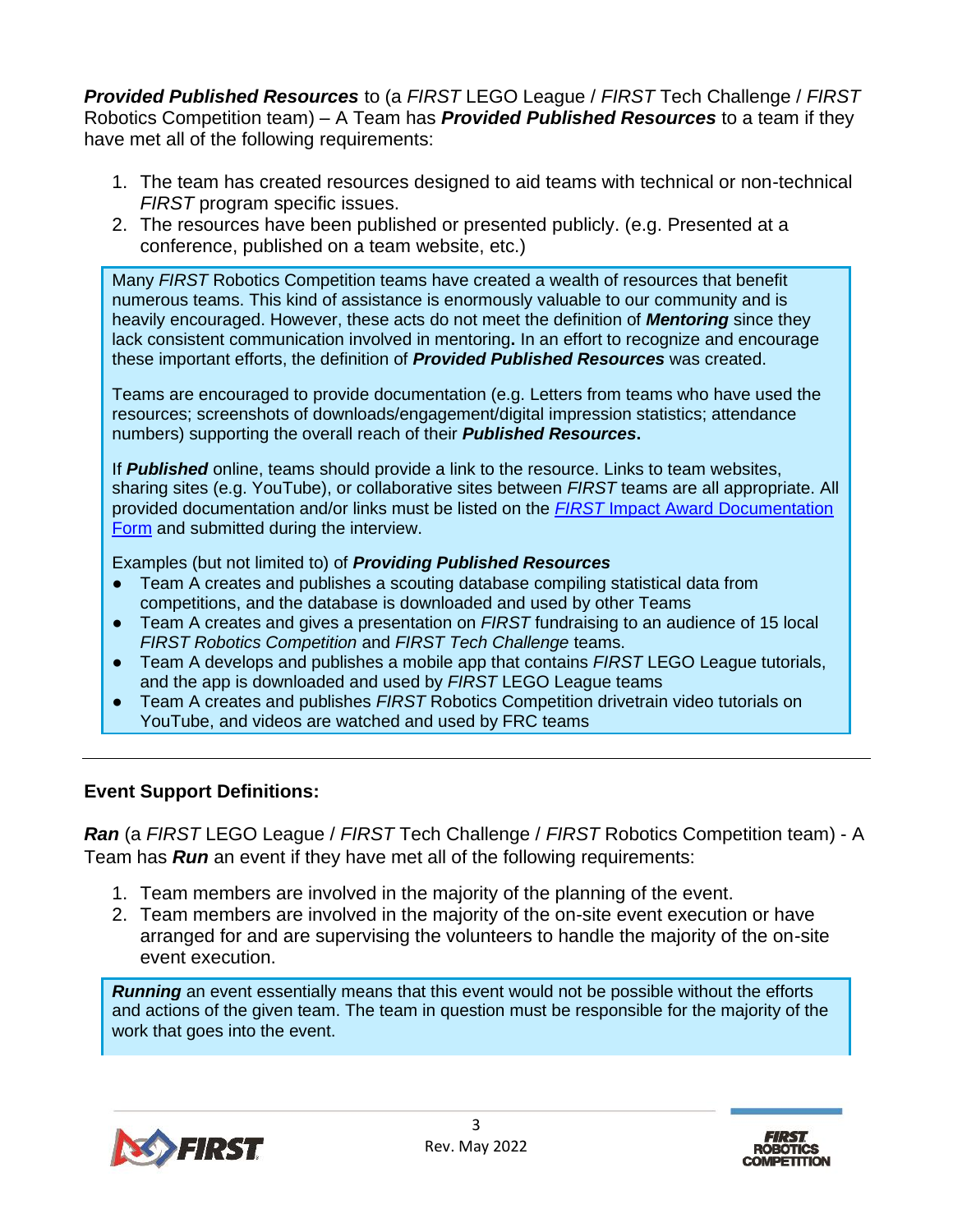*Provided Published Resources* to (a *FIRST* LEGO League / *FIRST* Tech Challenge / *FIRST* Robotics Competition team) – A Team has *Provided Published Resources* to a team if they have met all of the following requirements:

- 1. The team has created resources designed to aid teams with technical or non-technical *FIRST* program specific issues.
- 2. The resources have been published or presented publicly. (e.g. Presented at a conference, published on a team website, etc.)

Many *FIRST* Robotics Competition teams have created a wealth of resources that benefit numerous teams. This kind of assistance is enormously valuable to our community and is heavily encouraged. However, these acts do not meet the definition of *Mentoring* since they lack consistent communication involved in mentoring**.** In an effort to recognize and encourage these important efforts, the definition of *Provided Published Resources* was created.

Teams are encouraged to provide documentation (e.g. Letters from teams who have used the resources; screenshots of downloads/engagement/digital impression statistics; attendance numbers) supporting the overall reach of their *Published Resources***.**

If *Published* online, teams should provide a link to the resource. Links to team websites, sharing sites (e.g. YouTube), or collaborative sites between *FIRST* teams are all appropriate. All provided documentation and/or links must be listed on the *FIRST* Impact Award [Documentation](https://www.firstinspires.org/sites/default/files/uploads/resource_library/frc/game-and-season-info/awards/first-impact-award-documentation-form.pdf)  [Form](https://www.firstinspires.org/sites/default/files/uploads/resource_library/frc/game-and-season-info/awards/first-impact-award-documentation-form.pdf) and submitted during the interview.

Examples (but not limited to) of *Providing Published Resources*

- Team A creates and publishes a scouting database compiling statistical data from competitions, and the database is downloaded and used by other Teams
- Team A creates and gives a presentation on *FIRST* fundraising to an audience of 15 local *FIRST Robotics Competition* and *FIRST Tech Challenge* teams.
- Team A develops and publishes a mobile app that contains *FIRST* LEGO League tutorials, and the app is downloaded and used by *FIRST* LEGO League teams
- Team A creates and publishes *FIRST* Robotics Competition drivetrain video tutorials on YouTube, and videos are watched and used by FRC teams

## **Event Support Definitions:**

*Ran* (a *FIRST* LEGO League / *FIRST* Tech Challenge / *FIRST* Robotics Competition team) - A Team has *Run* an event if they have met all of the following requirements:

- 1. Team members are involved in the majority of the planning of the event.
- 2. Team members are involved in the majority of the on-site event execution or have arranged for and are supervising the volunteers to handle the majority of the on-site event execution.

*Running* an event essentially means that this event would not be possible without the efforts and actions of the given team. The team in question must be responsible for the majority of the work that goes into the event.



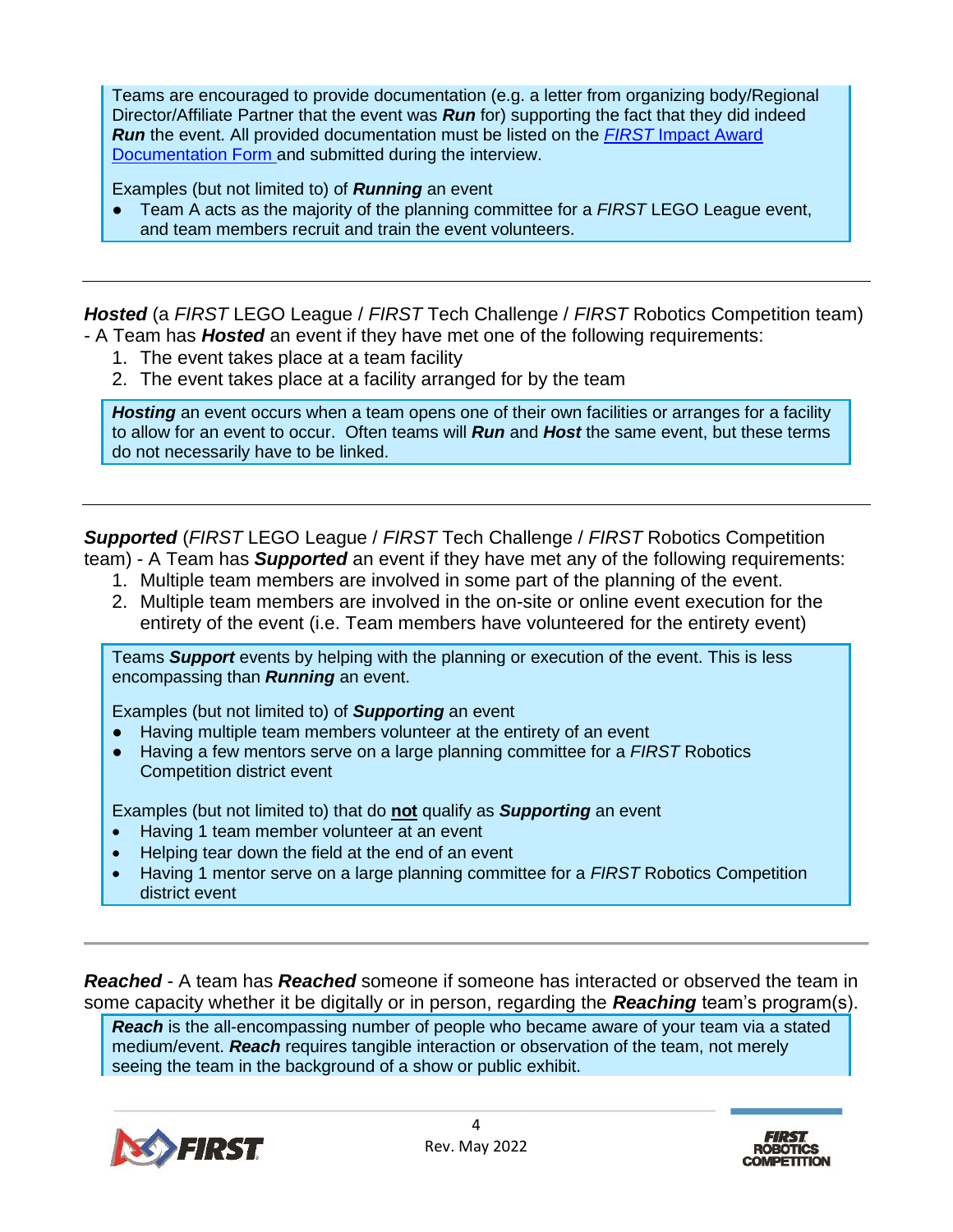Teams are encouraged to provide documentation (e.g. a letter from organizing body/Regional Director/Affiliate Partner that the event was *Run* for) supporting the fact that they did indeed *Run* the event. All provided documentation must be listed on the *FIRST* [Impact Award](https://www.firstinspires.org/sites/default/files/uploads/resource_library/frc/game-and-season-info/awards/first-impact-award-documentation-form.pdf) [Documentation Form](https://www.firstinspires.org/sites/default/files/uploads/resource_library/frc/game-and-season-info/awards/first-impact-award-documentation-form.pdf) and submitted during the interview.

Examples (but not limited to) of *Running* an event

● Team A acts as the majority of the planning committee for a *FIRST* LEGO League event, and team members recruit and train the event volunteers.

**Hosted** (a FIRST LEGO League / FIRST Tech Challenge / FIRST Robotics Competition team) - A Team has *Hosted* an event if they have met one of the following requirements:

- 1. The event takes place at a team facility
- 2. The event takes place at a facility arranged for by the team

**Hosting** an event occurs when a team opens one of their own facilities or arranges for a facility to allow for an event to occur. Often teams will *Run* and *Host* the same event, but these terms do not necessarily have to be linked.

*Supported* (*FIRST* LEGO League / *FIRST* Tech Challenge / *FIRST* Robotics Competition team) - A Team has *Supported* an event if they have met any of the following requirements:

- 1. Multiple team members are involved in some part of the planning of the event.
- 2. Multiple team members are involved in the on-site or online event execution for the entirety of the event (i.e. Team members have volunteered for the entirety event)

Teams *Support* events by helping with the planning or execution of the event. This is less encompassing than *Running* an event.

Examples (but not limited to) of *Supporting* an event

- Having multiple team members volunteer at the entirety of an event
- Having a few mentors serve on a large planning committee for a *FIRST* Robotics Competition district event

Examples (but not limited to) that do **not** qualify as *Supporting* an event

- Having 1 team member volunteer at an event
- Helping tear down the field at the end of an event
- Having 1 mentor serve on a large planning committee for a *FIRST* Robotics Competition district event

*Reached* - A team has *Reached* someone if someone has interacted or observed the team in some capacity whether it be digitally or in person, regarding the *Reaching* team's program(s).

*Reach* is the all-encompassing number of people who became aware of your team via a stated medium/event. *Reach* requires tangible interaction or observation of the team, not merely seeing the team in the background of a show or public exhibit.



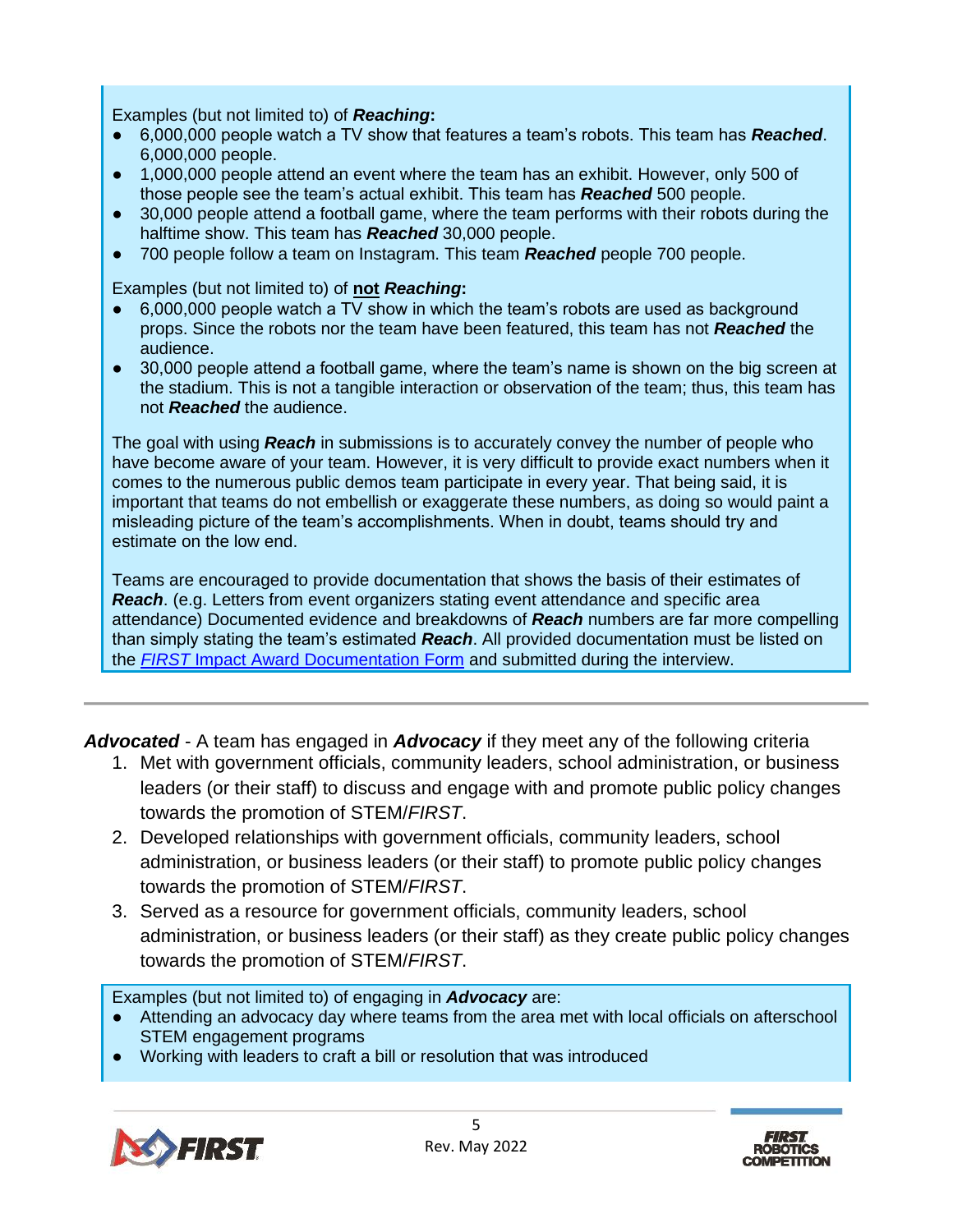Examples (but not limited to) of *Reaching***:**

- 6,000,000 people watch a TV show that features a team's robots. This team has *Reached*. 6,000,000 people.
- 1,000,000 people attend an event where the team has an exhibit. However, only 500 of those people see the team's actual exhibit. This team has *Reached* 500 people.
- 30,000 people attend a football game, where the team performs with their robots during the halftime show. This team has *Reached* 30,000 people.
- 700 people follow a team on Instagram. This team *Reached* people 700 people.

Examples (but not limited to) of **not** *Reaching***:**

- 6,000,000 people watch a TV show in which the team's robots are used as background props. Since the robots nor the team have been featured, this team has not *Reached* the audience.
- 30,000 people attend a football game, where the team's name is shown on the big screen at the stadium. This is not a tangible interaction or observation of the team; thus, this team has not *Reached* the audience.

The goal with using *Reach* in submissions is to accurately convey the number of people who have become aware of your team. However, it is very difficult to provide exact numbers when it comes to the numerous public demos team participate in every year. That being said, it is important that teams do not embellish or exaggerate these numbers, as doing so would paint a misleading picture of the team's accomplishments. When in doubt, teams should try and estimate on the low end.

Teams are encouraged to provide documentation that shows the basis of their estimates of *Reach*. (e.g. Letters from event organizers stating event attendance and specific area attendance) Documented evidence and breakdowns of *Reach* numbers are far more compelling than simply stating the team's estimated *Reach*. All provided documentation must be listed on the *FIRST* Impact Award [Documentation Form](https://www.firstinspires.org/sites/default/files/uploads/resource_library/frc/game-and-season-info/awards/first-impact-award-documentation-form.pdf) and submitted during the interview.

*Advocated* - A team has engaged in *Advocacy* if they meet any of the following criteria

- 1. Met with government officials, community leaders, school administration, or business leaders (or their staff) to discuss and engage with and promote public policy changes towards the promotion of STEM/*FIRST*.
- 2. Developed relationships with government officials, community leaders, school administration, or business leaders (or their staff) to promote public policy changes towards the promotion of STEM/*FIRST*.
- 3. Served as a resource for government officials, community leaders, school administration, or business leaders (or their staff) as they create public policy changes towards the promotion of STEM/*FIRST*.

Examples (but not limited to) of engaging in *Advocacy* are:

- Attending an advocacy day where teams from the area met with local officials on afterschool STEM engagement programs
- Working with leaders to craft a bill or resolution that was introduced